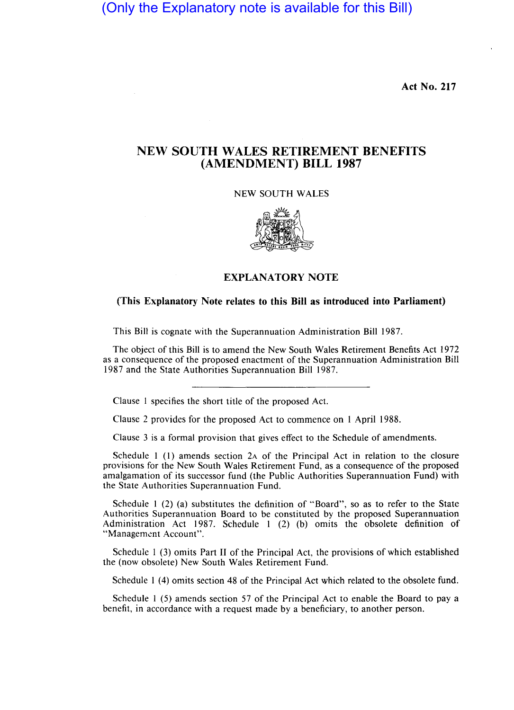(Only the Explanatory note is available for this Bill)

Act No. 217

## NEW SOUTH WALES RETIREMENT BENEFITS (AMENDMENT) BILL 1987

NEW SOUTH WALES



## EXPLANATORY NOTE

## (This Explanatory Note relates to this Bill as introduced into Parliament)

This Bill is cognate with the Superannuation Administration Bill 1987.

The object of this Bill is to amend the New South Wales Retirement Benefits Act 1972 as a consequence of the proposed enactment of the Superannuation Administration Bill 1987 and the State Authorities Superannuation Bill 1987.

Clause 1 specifies the short title of the proposed Act.

Clause 2 provides for the proposed Act to commence on 1 April 1988.

Clause 3 is a formal provision that gives effect to the Schedule of amendments.

Schedule 1 (1) amends section 2A of the Principal Act in relation to the closure provisions for the New South Wales Retirement Fund, as a consequence of the proposed amalgamation of its successor fund (the Public Authorities Superannuation Fund) with the State Authorities Superannuation Fund.

Schedule 1 (2) (a) substitutes the definition of "Board", so as to refer to the State Authorities Superannuation Board to be constituted by the proposed Superannuation Administration Act 1987. Schedule 1 (2) (b) omits the obsolete definition of "Management Account".

Schedule 1 (3) omits Part II of the Principal Act, the provisions of which established the (now obsolete) New South Wales Retirement Fund.

Schedule 1 (4) omits section 48 of the Principal Act which related to the obsolete fund.

Schedule 1 (5) amends section 57 of the Principal Act to enable the Board to pay a benefit, in accordance with a request made by a beneficiary, to another person.